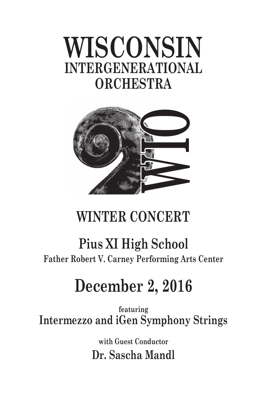# **WISCONSIN INTERGENERATIONAL ORCHESTRA**



## <u>WISCONSIN COMPANY</u> **WINTER CONCERT**

## **Pius XI High School Father Robert V. Carney Performing Arts Center**

# **December 2, 2016**

**featuring Intermezzo and iGen Symphony Strings**

> **with Guest Conductor Dr. Sascha Mandl**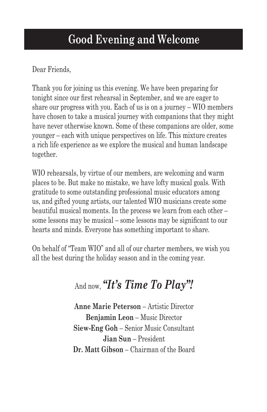## **Good Evening and Welcome**

Dear Friends,

Thank you for joining us this evening. We have been preparing for tonight since our first rehearsal in September, and we are eager to share our progress with you. Each of us is on a journey – WIO members have chosen to take a musical journey with companions that they might have never otherwise known. Some of these companions are older, some younger – each with unique perspectives on life. This mixture creates a rich life experience as we explore the musical and human landscape together.

WIO rehearsals, by virtue of our members, are welcoming and warm places to be. But make no mistake, we have lofty musical goals. With gratitude to some outstanding professional music educators among us, and gifted young artists, our talented WIO musicians create some beautiful musical moments. In the process we learn from each other – some lessons may be musical – some lessons may be significant to our hearts and minds. Everyone has something important to share.

On behalf of "Team WIO" and all of our charter members, we wish you all the best during the holiday season and in the coming year.

## And now, *"It's Time To Play"!*

**Anne Marie Peterson** – Artistic Director **Benjamin Leon** – Music Director **Siew-Eng Goh** – Senior Music Consultant **Jian Sun** – President **Dr. Matt Gibson** – Chairman of the Board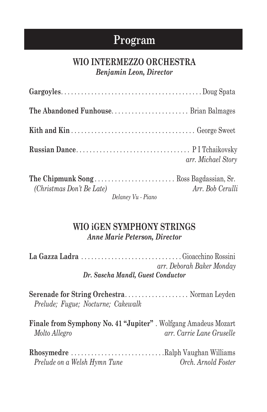## **Program**

### **WIO INTERMEZZO ORCHESTRA** *Benjamin Leon, Director*

| The Abandoned Funhouse Brian Balmages                                                                                                                                                                                                                      |                    |
|------------------------------------------------------------------------------------------------------------------------------------------------------------------------------------------------------------------------------------------------------------|--------------------|
|                                                                                                                                                                                                                                                            |                    |
|                                                                                                                                                                                                                                                            | arr. Michael Story |
| (Christmas Don't Be Late)<br>$P_1$ $P_2$ $P_3$ $P_4$ $P_5$ $P_6$ $P_7$ $P_8$ $P_9$ $P_9$ $P_9$ $P_9$ $P_9$ $P_9$ $P_9$ $P_9$ $P_9$ $P_9$ $P_9$ $P_9$ $P_9$ $P_9$ $P_9$ $P_9$ $P_9$ $P_9$ $P_9$ $P_9$ $P_9$ $P_9$ $P_9$ $P_9$ $P_9$ $P_9$ $P_9$ $P_9$ $P_9$ | Arr. Bob Cerulli   |

*Delaney Vu - Piano*

### **WIO iGEN SYMPHONY STRINGS** *Anne Marie Peterson, Director*

| arr. Deborah Baker Monday<br>Dr. Sascha Mandl, Guest Conductor                          |                           |  |
|-----------------------------------------------------------------------------------------|---------------------------|--|
| Serenade for String Orchestra Norman Leyden<br>Prelude; Fugue; Nocturne; Cakewalk       |                           |  |
| <b>Finale from Symphony No. 41 "Jupiter"</b> . Wolfgang Amadeus Mozart<br>Molto Allegro | arr. Carrie Lane Gruselle |  |
| Rhosymedre Ralph Vaughan Williams<br>Prelude on a Welsh Hymn Tune                       | Orch. Arnold Foster       |  |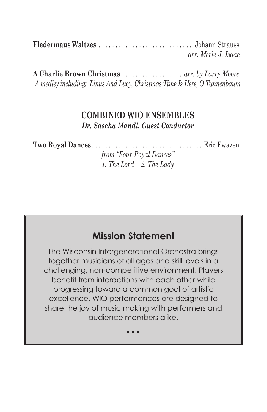**Fledermaus Waltzes** . Johann Strauss *arr. Merle J. Isaac*

**A Charlie Brown Christmas** . . *arr. by Larry Moore A medley including: Linus And Lucy, Christmas Time Is Here, O Tannenbaum*

### **COMBINED WIO ENSEMBLES** *Dr. Sascha Mandl, Guest Conductor*

**Two Royal Dances** . . Eric Ewazen

*from "Four Royal Dances" 1. The Lord 2. The Lady*

### **Mission Statement**

The Wisconsin Intergenerational Orchestra brings together musicians of all ages and skill levels in a challenging, non-competitive environment. Players benefit from interactions with each other while progressing toward a common goal of artistic excellence. WIO performances are designed to share the joy of music making with performers and audience members alike.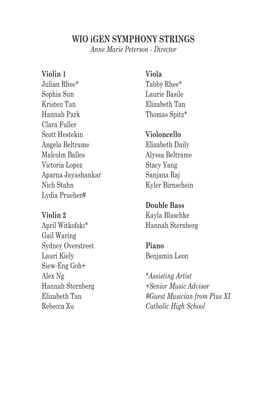### **WIO iGEN SYMPHONY STRINGS**

*Anne Marie Peterson - Director*

#### **Violin 1**

Julian Rhee\* Sophia Sun Kristen Tan Hannah Park Clara Fuller Scott Hestekin Angela Beltrame Malcolm Balles Victoria Lopez Aparna Jayashankar Nich Stahn Lydia Prueher#

### **Violin 2** April Witkofski\* Gail Waring Sydney Overstreet Lauri Kiely Siew-Eng Goh+ Alex Ng Hannah Sternberg

Elizabeth Tan Rebecca Xu

**Viola** Tabby Rhee\* Laurie Basile Elizabeth Tan Thomas Spitz\*

#### **Violoncello**

Elizabeth Daily Alyssa Beltrame Stacy Yang Sanjana Raj Kyler Birnschein

#### **Double Bass**

Kayla Blaschke Hannah Sternberg

## **Piano**

Benjamin Leon

*\*Assisting Artist +Senior Music Advisor #Guest Musician from Pius XI Catholic High School*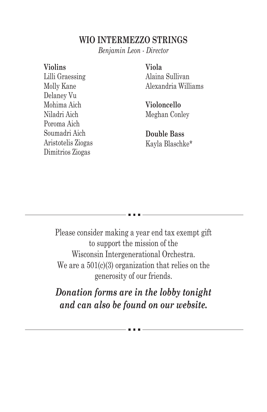### **WIO INTERMEZZO STRINGS**

*Benjamin Leon - Director*

#### **Violins**

Lilli Graessing Molly Kane Delaney Vu Mohima Aich Niladri Aich Poroma Aich Soumadri Aich Aristotelis Ziogas Dimitrios Ziogas

#### **Viola**

Alaina Sullivan Alexandria Williams

**Violoncello** Meghan Conley

**Double Bass** Kayla Blaschke\*

Please consider making a year end tax exempt gift to support the mission of the Wisconsin Intergenerational Orchestra. We are a  $501(c)(3)$  organization that relies on the generosity of our friends.

*Donation forms are in the lobby tonight and can also be found on our website.*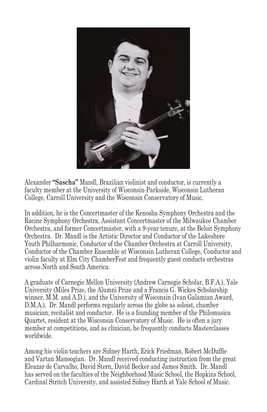

Alexander **"Sascha"** Mandl, Brazilian violinist and conductor, is currently a faculty member at the University of Wisconsin-Parkside, Wisconsin Lutheran College, Carroll University and the Wisconsin Conservatory of Music.

In addition, he is the Concertmaster of the Kenosha Symphony Orchestra and the Racine Symphony Orchestra, Assistant Concertmaster of the Milwaukee Chamber Orchestra, and former Concertmaster, with a 9-year tenure, at the Beloit Symphony Orchestra. Dr. Mandl is the Artistic Director and Conductor of the Lakeshore Youth Philharmonic, Conductor of the Chamber Orchestra at Carroll University, Conductor of the Chamber Ensemble at Wisconsin Lutheran College, Conductor and violin faculty at Elm City ChamberFest and frequently guest conducts orchestras across North and South America.

A graduate of Carnegie Mellon University (Andrew Carnegie Scholar, B.F.A.), Yale University (Miles Prize, the Alumni Prize and a Francis G. Wickes Scholarship winner, M.M. and A.D.), and the University of Wisconsin (Ivan Galamian Award, D.M.A.), Dr. Mandl performs regularly across the globe as soloist, chamber musician, recitalist and conductor. He is a founding member of the Philomusica Quartet, resident at the Wisconsin Conservatory of Music. He is often a jury member at competitions, and as clinician, he frequently conducts Masterclasses worldwide.

Among his violin teachers are Sidney Harth, Erick Friedman, Robert McDuffie and Vartan Manoogian. Dr. Mandl received conducting instruction from the great Eleazar de Carvalho, David Stern, David Becker and James Smith. Dr. Mandl has served on the faculties of the Neighborhood Music School, the Hopkins School, Cardinal Stritch University, and assisted Sidney Harth at Yale School of Music.